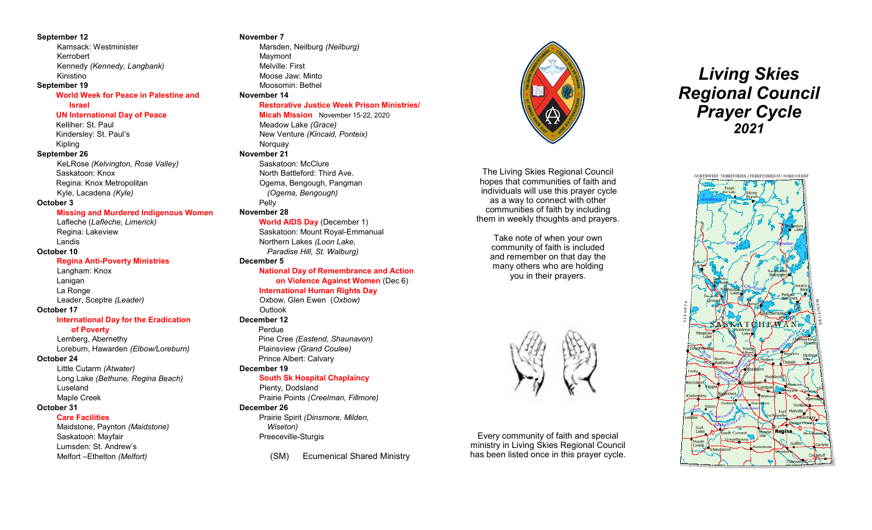#### **September 12**

Kamsack: Westminister Kerrobert Kennedy *(Kennedy, Langbank)* Kinistino

#### **September 19**

#### **World Week for Peace in Palestine and**

#### **Israel**

#### **UN International Day of Peace**

Kelliher: St. Paul Kindersley: St. Paul's Kipling **September 26** KeLRose *(Kelvington, Rose Valley)* Saskatoon: Knox

Regina: Knox Metropolitan Kyle, Lacadena *(Kyle)*

#### **October 3**

#### **Missing and Murdered Indigenous Women**

Lafleche (*Lafleche, Limerick)* Regina: Lakeview Landis **October 10**

#### **Regina Anti-Poverty Ministries**

Langham: Knox Lanigan La Ronge Leader, Sceptre *(Leader)*

#### **October 17**

#### **International Day for the Eradication**

 **of Poverty** 

Lemberg, Abernethy Loreburn, Hawarden *(Elbow/Loreburn)* 

#### **October 24**

Little Cutarm *(Atwater)* Long Lake *(Bethune, Regina Beach)*  Luseland Maple Creek

#### **October 31**

**Care Facilities**

Maidstone, Paynton *(Maidstone)* Saskatoon: Mayfair Lumsden: St. Andrew's Melfort –Ethelton *(Melfort)*

#### **November 7** Marsden, Neilburg *(Neilburg)*

Maymont Melville: First Moose Jaw: Minto Moosomin: Bethel **November 14**

#### **Restorative Justice Week Prison Ministries/**

**Micah Mission** November 15-22, 2020 Meadow Lake *(Grace)* New Venture *(Kincaid, Ponteix)* **Norquay November 21** Saskatoon: McClure North Battleford: Third Ave. Ogema, Bengough, Pangman *(Ogema, Bengough)* Pelly **November 28**

## **World AIDS Day** (December 1)

Saskatoon: Mount Royal-Emmanual Northern Lakes *(Loon Lake, Paradise Hill, St. Walburg)*

#### **December 5**

#### **National Day of Remembrance and Action on Violence Against Women** (Dec 6) **International Human Rights Day**

Oxbow, Glen Ewen (*Oxbow)* **Outlook** 

## **December 12**

Perdue Pine Cree *(Eastend, Shaunavon)* Plainsview *(Grand Coulee)* Prince Albert: Calvary

#### **December 19**

#### **South Sk Hospital Chaplaincy**

Plenty, Dodsland Prairie Points *(Creelman, Fillmore)* **December 26** 

Prairie Spirit *(Dinsmore, Milden, Wiseton)* Preeceville-Sturgis

(SM) Ecumenical Shared Ministry



The Living Skies Regional Council hopes that communities of faith and individuals will use this prayer cycle as a way to connect with other communities of faith by including them in weekly thoughts and prayers.

Take note of when your own community of faith is included and remember on that day the many others who are holding you in their prayers.



Every community of faith and special ministry in Living Skies Regional Council has been listed once in this prayer cycle.

# *Living Skies Regional Council Prayer Cycle 2021*